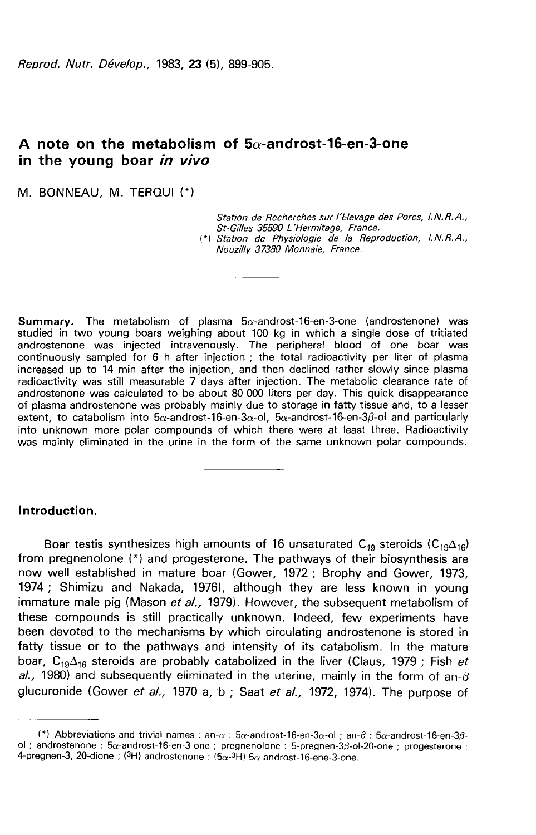Reprod. Nutr. Dévelop., 1983, 23 (5), 899-905.

# A note on the metabolism of  $5\alpha$ -androst-16-en-3-one in the young boar in vivo

M. BONNEAU. M. TERQUI (\*)

Station de Recherches sur l'Elevage des Porcs, I.N.R.A., St-Gilles 35590 L'Hermitage, France.

(\*) Station de Physiologie de la Reproduction, I.N.R.A., Nouzilly 37380 Monnaie, France.

**Summary.** The metabolism of plasma  $5\alpha$ -androst-16-en-3-one (androstenone) was studied in two young boars weighing about 100 kg in which a single dose of tritiated androstenone was injected intravenously. The peripheral blood of one boar was continuously sampled for 6 h after injection ; the total radioactivity per liter of plasma increased up to 14 min after the injection, and then declined rather slowly since plasma radioactivity was still measurable 7 days after injection. The metabolic clearance rate of androstenone was calculated to be about 80 000 liters per day. This quick disappearance of plasma androstenone was probably mainly due to storage in fatty tissue and, to a lesser extent, to catabolism into  $5\alpha$ -androst-16-en-3 $\alpha$ -ol,  $5\alpha$ -androst-16-en-3 $\beta$ -ol and particularly<br>into unknown more polar compounds of which there were at least three. Radioactivity was mainly eliminated in the urine in the form of the same unknown polar compounds.

#### Introduction.

**Introduction.**<br>Boar testis synthesizes high amounts of 16 unsaturated C<sub>19</sub> steroids (C<sub>19</sub> $\Delta_{16}$ )<br>from pregnenolone (\*) and progesterone. The pathways of their biosynthesis are now well established in mature boar (Gower, 1972 ; Brophy and Gower, 1973, 1974 ; Shimizu and Nakada, 1976), although they are less known in young immature male pig (Mason et al., 1979). However, the subsequent metabolism of these compounds is still practically unknown. Indeed, few experiments have been devoted to the mechanisms by which circulating androstenone is stored in fatty tissue or to the pathways and intensity of its catabolism. In the mature been devoted to the mechanisms by which circulating androstenone is stored in fatty tissue or to the pathways and intensity of its catabolism. In the mature boar,  $C_{19}\Delta_{16}$  steroids are probably catabolized in the live al., 1980) and subsequently eliminated in the uterine, mainly in the form of an- $\beta$ glucuronide (Gower et al., 1970 a, b; Saat et al., 1972, 1974). The purpose of

<sup>(\*)</sup> Abbreviations and trivial names : an- $\alpha$  : 5 $\alpha$ -androst-16-en-3 $\alpha$ -ol ; an- $\beta$  : 5 $\alpha$ -androst-16-en-3 $\beta$ ol;androstenone:5 $\alpha$ -androst-16-en-3-one;pregnenolone:5-pregnen-3 $\beta$ -ol-20-one;progesterone: (\*) Abbreviations and trivial names : an- $\alpha$  : 5 $\alpha$ -androst-16-en-3 $\alpha$ -ol ; androstenone : 5 $\alpha$ -androst-16-en-3-one ; pregnenolone : 5-pregnen-3 $\beta$ -o<br>4-pregnen-3, 20-dione ; (3H) androstenone : (5 $\alpha$ -3H) 5 $\alpha$ -andro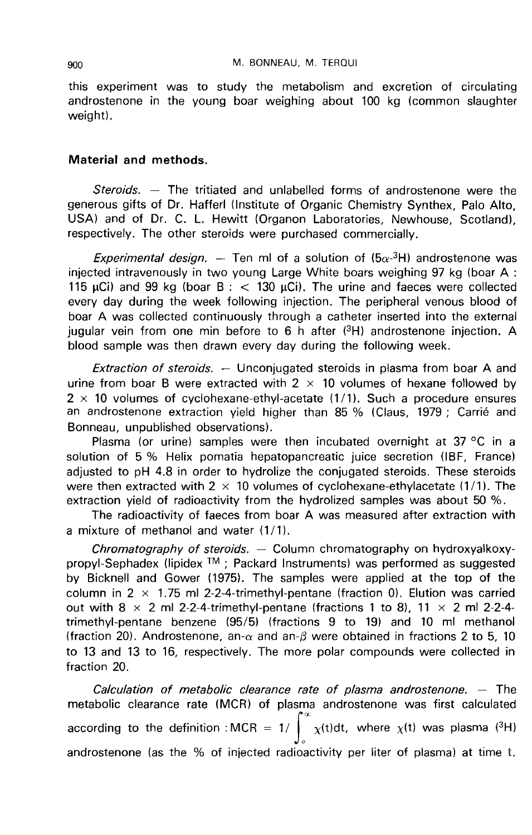this experiment was to study the metabolism and excretion of circulating androstenone in the young boar weighing about 100 kg (common slaughter weight).

## Material and methods.

Steroids.  $-$  The tritiated and unlabelled forms of androstenone were the generous gifts of Dr. Hafferl (Institute of Organic Chemistry Synthex, Palo Alto, USA) and of Dr. C. L. Hewitt (Organon Laboratories, Newhouse, Scotland), respectively. The other steroids were purchased commercially.

*Experimental design.* — Ten ml of a solution of  $(5\alpha - 3H)$  androstenone was injected intravenously in two young Large White boars weighing 97 kg (boar A : 115  $\mu$ Ci) and 99 kg (boar B :  $<$  130  $\mu$ Ci). The urine and faeces were collected every day during the week following injection. The peripheral venous blood of boar A was collected continuously through a catheter inserted into the external jugular vein from one min before to 6 h after  $(3H)$  androstenone injection. A blood sample was then drawn every day during the following week.

Extraction of steroids.  $-$  Unconjugated steroids in plasma from boar A and urine from boar B were extracted with  $2 \times 10$  volumes of hexane followed by  $2 \times 10$  volumes of cyclohexane-ethyl-acetate (1/1). Such a procedure ensures an androstenone extraction yield higher than 85 % (Claus, 1979 ; Carrié and Bonneau, unpublished observations).

Plasma (or urine) samples were then incubated overnight at 37 °C in a solution of 5 % Helix pomatia hepatopancreatic juice secretion (IBF, France) adjusted to pH 4.8 in order to hydrolize the conjugated steroids. These steroids were then extracted with  $2 \times 10$  volumes of cyclohexane-ethylacetate (1/1). The extraction yield of radioactivity from the hydrolized samples was about 50 %.

The radioactivity of faeces from boar A was measured after extraction with a mixture of methanol and water (1/1).

Chromatography of steroids.  $-$  Column chromatography on hydroxyalkoxypropyl-Sephadex (lipidex  $TM$  ; Packard Instruments) was performed as suggested by Bicknell and Gower (1975). The samples were applied at the top of the column in  $2 \times 1.75$  ml 2-2-4-trimethyl-pentane (fraction 0). Elution was carried out with 8  $\times$  2 ml 2-2-4-trimethyl-pentane (fractions 1 to 8), 11  $\times$  2 ml 2-2-4trimethyl-pentane benzene (95/5) (fractions 9 to 19) and 10 ml methanol (fraction 20). Androstenone, an- $\alpha$  and an- $\beta$  were obtained in fractions 2 to 5, 10 to 13 and 13 to 16, respectively. The more polar compounds were collected in fraction 20.

Calculation of metabolic clearance rate of plasma androstenone. - The metabolic clearance rate (MCR) of plasma androstenone was first calculated metabolic clearance rate (MCR) of plasma androstenone was first calculated<br>according to the definition :MCR = 1/  $\int_s^\infty \chi(t) dt$ , where  $\chi(t)$  was plasma (<sup>3</sup>H) androstenone (as the % of injected radioactivity per liter of plasma) at time t.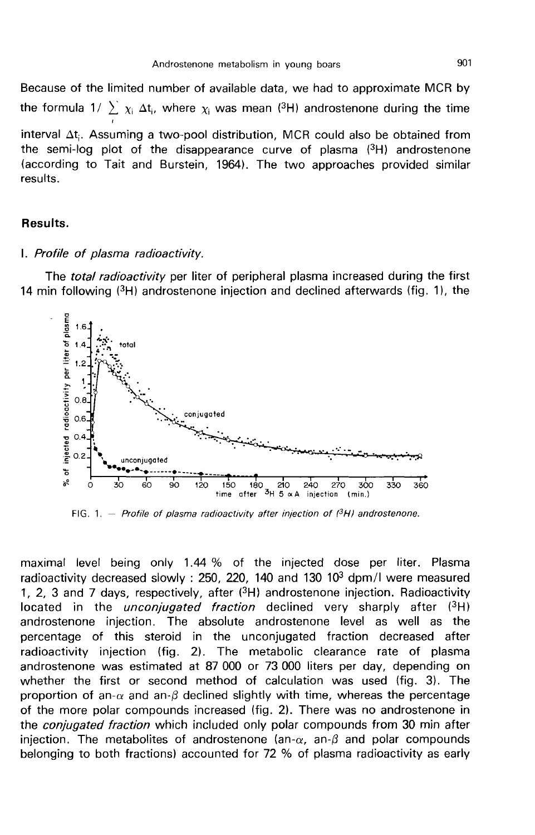Because of the limited number of available data, we had to approximate MCR by the formula 1/  $\sum \chi_i \Delta t_i$ , where  $\chi_i$  was mean (3H) androstenone during the time interval  $\Delta t_i$ . Assuming a two-pool distribution, MCR could also be obtained from<br>the semi-log plot of the disappearance curve of plasma (<sup>3</sup>H) androstenone (according to Tait and Burstein, 1964). The two approaches provided similar results.

#### Results.

#### I. Profile of plasma radioactivity.

The total radioactivity per liter of peripheral plasma increased during the first 14 min following  $(3H)$  androstenone injection and declined afterwards (fig. 1), the



FIG. 1. - Profile of plasma radioactivity after injection of  $^{3}H$  androstenone.

maximal level being only 1.44 % of the injected dose per liter. Plasma radioactivity decreased slowly : 250, 220, 140 and 130  $10<sup>3</sup>$  dpm/l were measured 1, 2, 3 and 7 days, respectively, after (3H) androstenone injection. Radioactivity located in the *unconjugated fraction* declined very sharply after  $(3H)$ androstenone injection. The absolute androstenone level as well as the percentage of this steroid in the unconjugated fraction decreased after radioactivity injection (fig. 2). The metabolic clearance rate of plasma androstenone was estimated at 87 000 or 73 000 liters per day, depending on whether the first or second method of calculation was used (fig. 3). The proportion of an- $\alpha$  and an- $\beta$  declined slightly with time, whereas the percentage of the more polar compounds increased (fig. 2). There was no androstenone in the *conjugated fraction* which included only polar compounds from 30 min after injection. The metabolites of androstenone (an- $\alpha$ , an- $\beta$  and polar compounds belonging to both fractions) accounted for 72 % of plasma radioactivity as early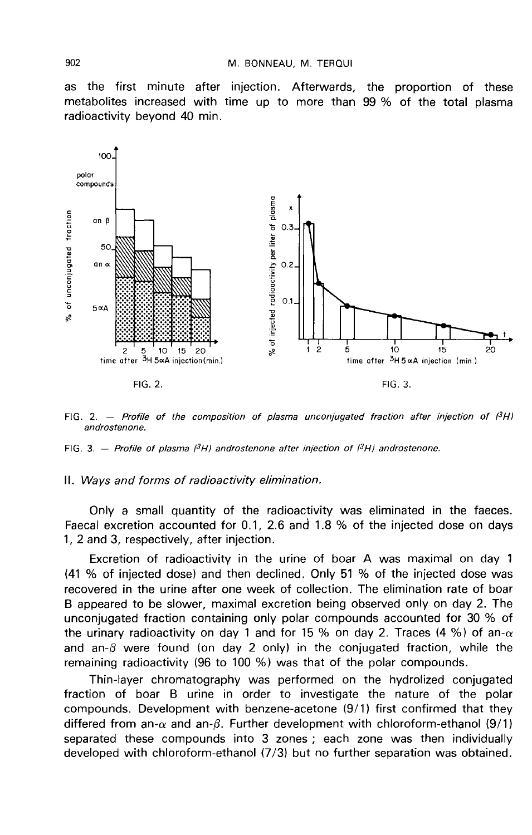as the first minute after injection. Afterwards, the proportion of these metabolites increased with time up to more than 99 % of the total plasma radioactivity beyond 40 min.



FIG. 2. - Profile of the composition of plasma unconjugated fraction after injection of  $(3H)$ androstenone.

FIG. 3. - Profile of plasma  $(3H)$  androstenone after injection of  $(3H)$  androstenone.

#### II. Ways and forms of radioactivity elimination.

Only a small quantity of the radioactivity was eliminated in the faeces. Faecal excretion accounted for 0.1, 2.6 and 1.8 % of the injected dose on days 1, 2 and 3, respectively, after injection.

Excretion of radioactivity in the urine of boar A was maximal on day 1 (41 % of injected dose) and then declined. Only 51 % of the injected dose was recovered in the urine after one week of collection. The elimination rate of boar B appeared to be slower, maximal excretion being observed only on day 2. The unconjugated fraction containing only polar compounds accounted for 30 % of the urinary radioactivity on day 1 and for 15 % on day 2. Traces (4 %) of an- $\alpha$ and an- $\beta$  were found (on day 2 only) in the conjugated fraction, while the remaining radioactivity (96 to 100 %) was that of the polar compounds.

Thin-layer chromatography was performed on the hydrolized conjugated fraction of boar B urine in order to investigate the nature of the polar compounds. Development with benzene-acetone (9/1) first confirmed that they differed from an- $\alpha$  and an- $\beta$ . Further development with chloroform-ethanol (9/1) separated these compounds into 3 zones ; each zone was then individually developed with chloroform-ethanol (7/3) but no further separation was obtained.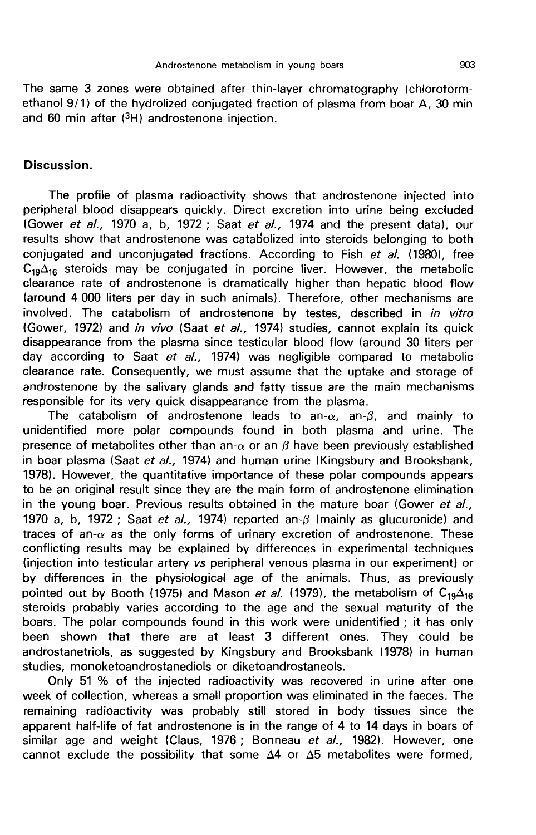The same 3 zones were obtained after thin-layer chromatography (chloroformethanol 9/1) of the hydrolized conjugated fraction of plasma from boar A, 30 min and 60 min after (3H) androstenone injection.

## Discussion.

The profile of plasma radioactivity shows that androstenone injected into peripheral blood disappears quickly. Direct excretion into urine being excluded (Gower et al., 1970 a, b, 1972 ; Saat et al., 1974 and the present data), our results show that androstenone was catabolized into steroids belonging to both conjugated and unconjugated fractions. According to Fish et al. (1980), free<br>C<sub>19</sub>A<sub>16</sub> steroids may be conjugated in porcine liver. However, the metabolic results show that androstenone was catabolized into steroids belonging to both conjugated and unconjugated fractions. According to Fish *et al.* (1980), free  $C_{19} \Delta_{16}$  steroids may be conjugated in porcine liver. Howe (around 4 000 liters per day in such animals). Therefore, other mechanisms are involved. The catabolism of androstenone by testes, described in in vitro (Gower, 1972) and in vivo (Saat et al., 1974) studies, cannot explain its quick disappearance from the plasma since testicular blood flow (around 30 liters per day according to Saat et al., 1974) was negligible compared to metabolic clearance rate. Consequently, we must assume that the uptake and storage of androstenone by the salivary glands and fatty tissue are the main mechanisms responsible for its very quick disappearance from the plasma.

The catabolism of androstenone leads to an- $\alpha$ , an- $\beta$ , and mainly to unidentified more polar compounds found in both plasma and urine. The presence of metabolites other than an- $\alpha$  or an- $\beta$  have been previously established in boar plasma (Saat et al., 1974) and human urine (Kingsbury and Brooksbank, 1978). However, the quantitative importance of these polar compounds appears to be an original result since they are the main form of androstenone elimination in the young boar. Previous results obtained in the mature boar (Gower et  $al$ , 1970 a, b, 1972 ; Saat et al., 1974) reported an- $\beta$  (mainly as glucuronide) and traces of an- $\alpha$  as the only forms of urinary excretion of androstenone. These conflicting results may be explained by differences in experimental techniques (injection into testicular artery vs peripheral venous plasma in our experiment) or by differences in the physiological age of the animals. Thus, as previously pointed out by Booth (1975) and Mason *et al.* (1979), the metabolism of C<sub>19</sub> $\Delta_{16}$ steroids probably varies according to the age and the sexual maturity of the boars. The polar compounds found in this work were unidentified ; it has only been shown that there are at least 3 different ones. They could be androstanetriols, as suggested by Kingsbury and Brooksbank (1978) in human studies, monoketoandrostanediols or diketoandrostaneols.

Only 51 % of the injected radioactivity was recovered in urine after one week of collection, whereas a small proportion was eliminated in the faeces. The remaining radioactivity was probably still stored in body tissues since the apparent half-life of fat androstenone is in the range of 4 to 14 days in boars of similar age and weight (Claus, 1976 ; Bonneau et al., 1982). However, one cannot exclude the possibility that some  $\Delta 4$  or  $\Delta 5$  metabolites were formed,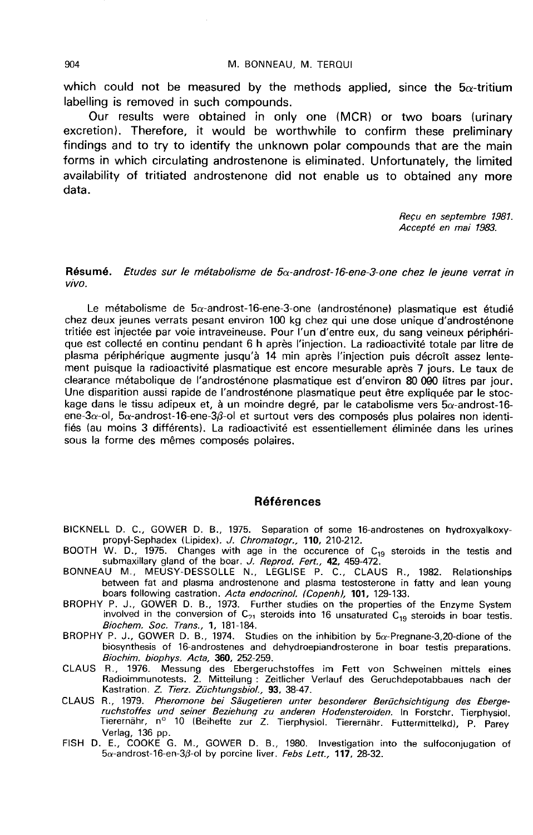which could not be measured by the methods applied, since the  $5\alpha$ -tritium labelling is removed in such compounds.

Our results were obtained in only one (MCR) or two boars (urinary excretion). Therefore, it would be worthwhile to confirm these preliminary findings and to try to identify the unknown polar compounds that are the main forms in which circulating androstenone is eliminated. Unfortunately, the limited availability of tritiated androstenone did not enable us to obtained any more data.

> Recu en septembre 1981. Accepte en mai 1983.

Résumé. Etudes sur le métabolisme de  $5\alpha$ -androst-16-ene-3-one chez le jeune verrat in vivo.

Le métabolisme de  $5\alpha$ -androst-16-ene-3-one (androsténone) plasmatique est étudié chez deux jeunes verrats pesant environ 100 kg chez qui une dose unique d'androsténone tritiée est injectée par voie intraveineuse. Pour l'un d'entre eux, du sang veineux périphérique est collecté en continu pendant 6 h après l'injection. La radioactivité totale par litre de plasma périphérique augmente jusqu'à 14 min après l'injection puis décroît assez lentement puisque la radioactivité plasmatique est encore mesurable après 7 jours. Le taux de clearance métabolique de l'androsténone plasmatique est d'environ 80 000 litres par jour. Une disparition aussi rapide de l'androsténone plasmatique peut être expliquée par le stockage dans le tissu adipeux et, à un moindre degré, par le catabolisme vers  $5\alpha$ -androst-16ene-3 $\alpha$ -ol, 5 $\alpha$ -androst-16-ene-3 $\beta$ -ol et surtout vers des composés plus polaires non identifiés (au moins 3 différents). La radioactivité est essentiellement éliminée dans les urines sous la forme des mêmes composés polaires.

### Références

BICKNELL D. C., GOWER D. B., 1975. Separation of some 16-androstenes on hydroxyalkoxy-

- propyl-Sephadex (Lipidex). *J. Chromatogr.,* 110, 210-212.<br>BOOTH W. D., 1975. Changes with age in the occurence of C<sub>19</sub> steroids in the testis and<br>cubin. allowing the of the borr. *I. Boored. Eget. 13, 4*59,472.
- submaxillary gland of the boar. *J. Reprod. Fert.,* **42,** 459-472.<br>BONNEAU M., MEUSY-DESSOLLE N., LEGLISE P. C., CLAUS R., 1982. Relationships between fat and plasma androstenone and plasma testosterone in fatty and lean young boars following castration. Acta endocrinol. (Copenh), 101, 129-133.
- BROPHY P. J., GOWER D. B., 1973. Further studies on the properties of the Enzyme System involved in the conversion of  $C_{21}$  steroids into 16 unsaturated  $C_{19}$  steroids in boar testis. Biochem. Soc. Trans., 1, 181-184.
- BROPHY P. J., GOWER D. B., 1974. Studies on the inhibition by 5a-Pregnane-3,20-dione of the biosynthesis of 16-androstenes and dehydroepiandrosterone in boar testis preparations. Biochim. biophys. Acta, 360, 252-259.
- CLAUS R., 1976. Messung des Ebergeruchstoffes im Fett von Schweinen mittels eines Radioimmunotests. 2. Mitteilung : Zeitlicher Verlauf des Geruchdepotabbaues nach der<br>Kastration. *Z. Tierz. Züchtungsbiol.,* <mark>93,</mark> 38-47.
- CLAUS R., 1979. Pheromone bei Säugetieren unter besonderer Berüchsichtigung des Eberge-<br>ruchstoffes und seiner Beziehung zu anderen Hodensteroiden. In Forstchr. Tierphysiol.<br>Tierernähr, n° 10 (Beihefte zur Z. Tierphysiol.
- FISH D. E., COOKE G. M., GOWER D. B., 1980. Investigation into the sulfoconjugation of  $5\alpha$ -androst-16-en-3 $\beta$ -ol by porcine liver. Febs Lett., 117, 28-32.